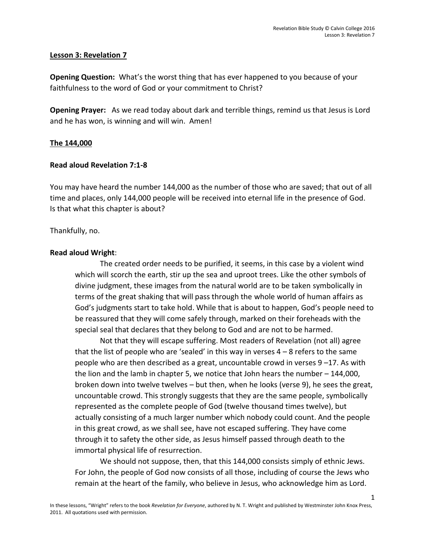## **Lesson 3: Revelation 7**

**Opening Question:** What's the worst thing that has ever happened to you because of your faithfulness to the word of God or your commitment to Christ?

**Opening Prayer:** As we read today about dark and terrible things, remind us that Jesus is Lord and he has won, is winning and will win. Amen!

## **The 144,000**

## **Read aloud Revelation 7:1-8**

You may have heard the number 144,000 as the number of those who are saved; that out of all time and places, only 144,000 people will be received into eternal life in the presence of God. Is that what this chapter is about?

#### Thankfully, no.

#### **Read aloud Wright**:

The created order needs to be purified, it seems, in this case by a violent wind which will scorch the earth, stir up the sea and uproot trees. Like the other symbols of divine judgment, these images from the natural world are to be taken symbolically in terms of the great shaking that will pass through the whole world of human affairs as God's judgments start to take hold. While that is about to happen, God's people need to be reassured that they will come safely through, marked on their foreheads with the special seal that declares that they belong to God and are not to be harmed.

Not that they will escape suffering. Most readers of Revelation (not all) agree that the list of people who are 'sealed' in this way in verses 4 – 8 refers to the same people who are then described as a great, uncountable crowd in verses 9 –17. As with the lion and the lamb in chapter 5, we notice that John hears the number – 144,000, broken down into twelve twelves – but then, when he looks (verse 9), he sees the great, uncountable crowd. This strongly suggests that they are the same people, symbolically represented as the complete people of God (twelve thousand times twelve), but actually consisting of a much larger number which nobody could count. And the people in this great crowd, as we shall see, have not escaped suffering. They have come through it to safety the other side, as Jesus himself passed through death to the immortal physical life of resurrection.

We should not suppose, then, that this 144,000 consists simply of ethnic Jews. For John, the people of God now consists of all those, including of course the Jews who remain at the heart of the family, who believe in Jesus, who acknowledge him as Lord.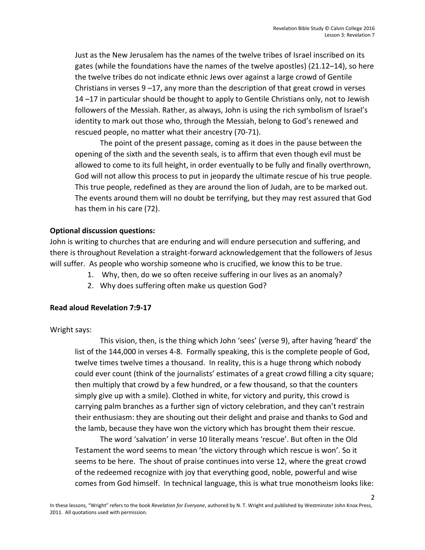Just as the New Jerusalem has the names of the twelve tribes of Israel inscribed on its gates (while the foundations have the names of the twelve apostles) (21.12–14), so here the twelve tribes do not indicate ethnic Jews over against a large crowd of Gentile Christians in verses  $9 - 17$ , any more than the description of that great crowd in verses 14 –17 in particular should be thought to apply to Gentile Christians only, not to Jewish followers of the Messiah. Rather, as always, John is using the rich symbolism of Israel's identity to mark out those who, through the Messiah, belong to God's renewed and rescued people, no matter what their ancestry (70-71).

The point of the present passage, coming as it does in the pause between the opening of the sixth and the seventh seals, is to affirm that even though evil must be allowed to come to its full height, in order eventually to be fully and finally overthrown, God will not allow this process to put in jeopardy the ultimate rescue of his true people. This true people, redefined as they are around the lion of Judah, are to be marked out. The events around them will no doubt be terrifying, but they may rest assured that God has them in his care (72).

# **Optional discussion questions:**

John is writing to churches that are enduring and will endure persecution and suffering, and there is throughout Revelation a straight-forward acknowledgement that the followers of Jesus will suffer. As people who worship someone who is crucified, we know this to be true.

- 1. Why, then, do we so often receive suffering in our lives as an anomaly?
- 2. Why does suffering often make us question God?

## **Read aloud Revelation 7:9-17**

Wright says:

This vision, then, is the thing which John 'sees' (verse 9), after having 'heard' the list of the 144,000 in verses 4-8. Formally speaking, this is the complete people of God, twelve times twelve times a thousand. In reality, this is a huge throng which nobody could ever count (think of the journalists' estimates of a great crowd filling a city square; then multiply that crowd by a few hundred, or a few thousand, so that the counters simply give up with a smile). Clothed in white, for victory and purity, this crowd is carrying palm branches as a further sign of victory celebration, and they can't restrain their enthusiasm: they are shouting out their delight and praise and thanks to God and the lamb, because they have won the victory which has brought them their rescue.

The word 'salvation' in verse 10 literally means 'rescue'. But often in the Old Testament the word seems to mean 'the victory through which rescue is won'. So it seems to be here. The shout of praise continues into verse 12, where the great crowd of the redeemed recognize with joy that everything good, noble, powerful and wise comes from God himself. In technical language, this is what true monotheism looks like: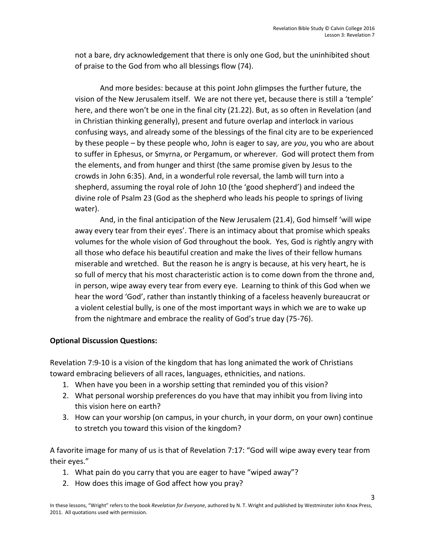3

not a bare, dry acknowledgement that there is only one God, but the uninhibited shout of praise to the God from who all blessings flow (74).

And more besides: because at this point John glimpses the further future, the vision of the New Jerusalem itself. We are not there yet, because there is still a 'temple' here, and there won't be one in the final city (21.22). But, as so often in Revelation (and in Christian thinking generally), present and future overlap and interlock in various confusing ways, and already some of the blessings of the final city are to be experienced by these people – by these people who, John is eager to say, are *you*, you who are about to suffer in Ephesus, or Smyrna, or Pergamum, or wherever. God will protect them from the elements, and from hunger and thirst (the same promise given by Jesus to the crowds in John 6:35). And, in a wonderful role reversal, the lamb will turn into a shepherd, assuming the royal role of John 10 (the 'good shepherd') and indeed the divine role of Psalm 23 (God as the shepherd who leads his people to springs of living water).

And, in the final anticipation of the New Jerusalem (21.4), God himself 'will wipe away every tear from their eyes'. There is an intimacy about that promise which speaks volumes for the whole vision of God throughout the book. Yes, God is rightly angry with all those who deface his beautiful creation and make the lives of their fellow humans miserable and wretched. But the reason he is angry is because, at his very heart, he is so full of mercy that his most characteristic action is to come down from the throne and, in person, wipe away every tear from every eye. Learning to think of this God when we hear the word 'God', rather than instantly thinking of a faceless heavenly bureaucrat or a violent celestial bully, is one of the most important ways in which we are to wake up from the nightmare and embrace the reality of God's true day (75-76).

# **Optional Discussion Questions:**

Revelation 7:9-10 is a vision of the kingdom that has long animated the work of Christians toward embracing believers of all races, languages, ethnicities, and nations.

- 1. When have you been in a worship setting that reminded you of this vision?
- 2. What personal worship preferences do you have that may inhibit you from living into this vision here on earth?
- 3. How can your worship (on campus, in your church, in your dorm, on your own) continue to stretch you toward this vision of the kingdom?

A favorite image for many of us is that of Revelation 7:17: "God will wipe away every tear from their eyes."

- 1. What pain do you carry that you are eager to have "wiped away"?
- 2. How does this image of God affect how you pray?